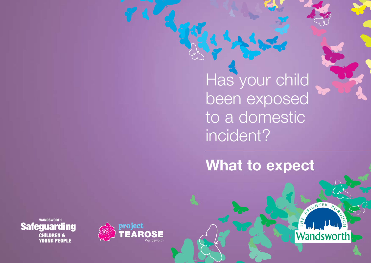Has your child been exposed to a domestic incident?

**What to expect**

ANTER

**Wandsworth** 



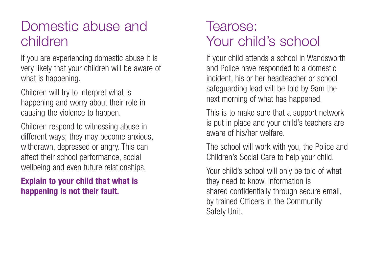## Domestic abuse and children

If you are experiencing domestic abuse it is very likely that your children will be aware of what is happening.

Children will try to interpret what is happening and worry about their role in causing the violence to happen.

Children respond to witnessing abuse in different ways; they may become anxious, withdrawn, depressed or angry. This can affect their school performance, social wellbeing and even future relationships.

#### **Explain to your child that what is happening is not their fault.**

# Tearose: Your child's school

If your child attends a school in Wandsworth and Police have responded to a domestic incident, his or her headteacher or school safeguarding lead will be told by 9am the next morning of what has happened.

This is to make sure that a support network is put in place and your child's teachers are aware of his/her welfare.

The school will work with you, the Police and Children's Social Care to help your child.

Your child's school will only be told of what they need to know. Information is shared confidentially through secure email, by trained Officers in the Community Safety Unit.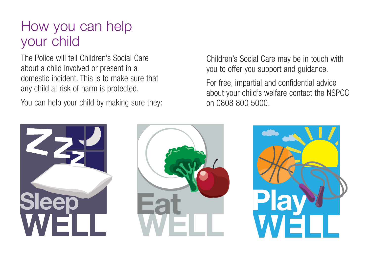# How you can help your child

The Police will tell Children's Social Care about a child involved or present in a domestic incident. This is to make sure that any child at risk of harm is protected.

You can help your child by making sure they:

Children's Social Care may be in touch with you to offer you support and guidance.

For free, impartial and confidential advice about your child's welfare contact the NSPCC on 0808 800 5000.